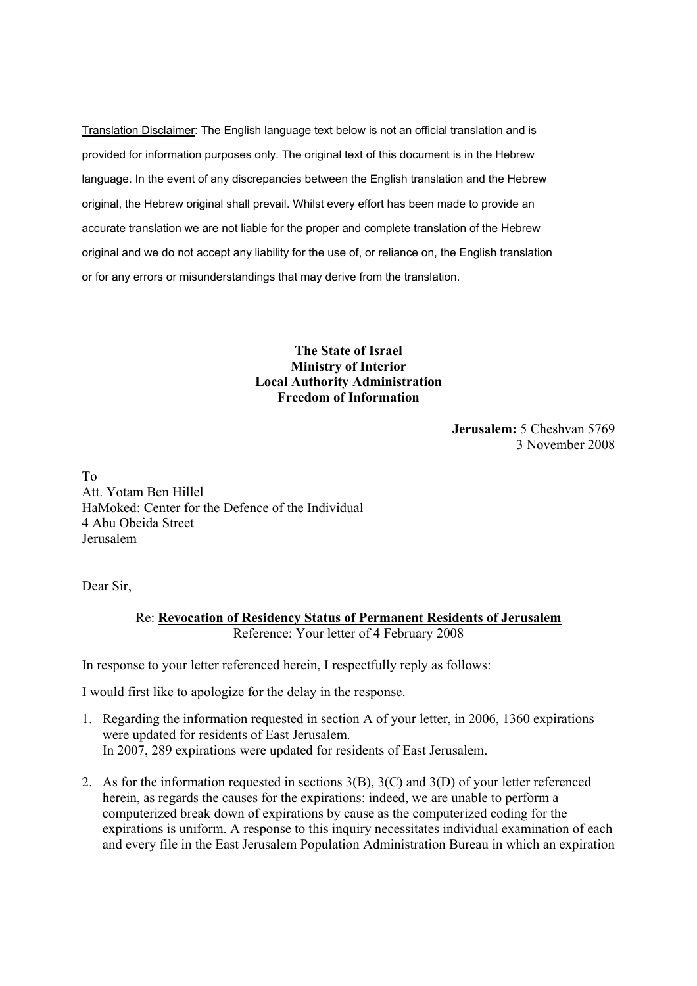Translation Disclaimer: The English language text below is not an official translation and is provided for information purposes only. The original text of this document is in the Hebrew language. In the event of any discrepancies between the English translation and the Hebrew original, the Hebrew original shall prevail. Whilst every effort has been made to provide an accurate translation we are not liable for the proper and complete translation of the Hebrew original and we do not accept any liability for the use of, or reliance on, the English translation or for any errors or misunderstandings that may derive from the translation.

## **The State of Israel Ministry of Interior Local Authority Administration Freedom of Information**

**Jerusalem:** 5 Cheshvan 5769 3 November 2008

To Att. Yotam Ben Hillel HaMoked: Center for the Defence of the Individual 4 Abu Obeida Street Jerusalem

Dear Sir,

Re: **Revocation of Residency Status of Permanent Residents of Jerusalem** Reference: Your letter of 4 February 2008

In response to your letter referenced herein, I respectfully reply as follows:

I would first like to apologize for the delay in the response.

- 1. Regarding the information requested in section A of your letter, in 2006, 1360 expirations were updated for residents of East Jerusalem. In 2007, 289 expirations were updated for residents of East Jerusalem.
- 2. As for the information requested in sections 3(B), 3(C) and 3(D) of your letter referenced herein, as regards the causes for the expirations: indeed, we are unable to perform a computerized break down of expirations by cause as the computerized coding for the expirations is uniform. A response to this inquiry necessitates individual examination of each and every file in the East Jerusalem Population Administration Bureau in which an expiration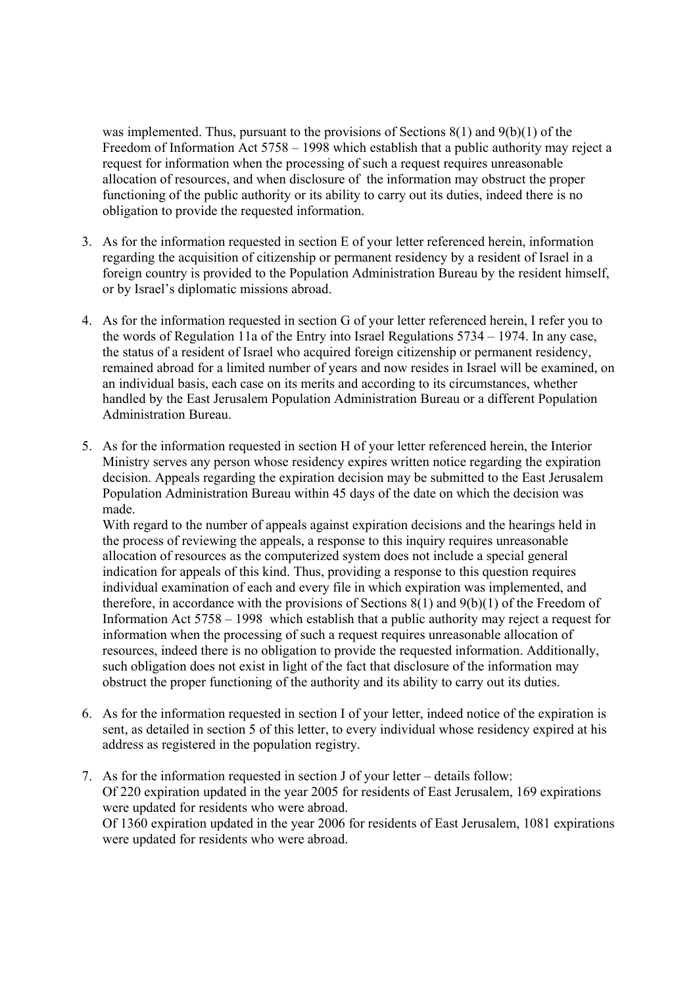was implemented. Thus, pursuant to the provisions of Sections  $8(1)$  and  $9(b)(1)$  of the Freedom of Information Act 5758 – 1998 which establish that a public authority may reject a request for information when the processing of such a request requires unreasonable allocation of resources, and when disclosure of the information may obstruct the proper functioning of the public authority or its ability to carry out its duties, indeed there is no obligation to provide the requested information.

- 3. As for the information requested in section E of your letter referenced herein, information regarding the acquisition of citizenship or permanent residency by a resident of Israel in a foreign country is provided to the Population Administration Bureau by the resident himself, or by Israel's diplomatic missions abroad.
- 4. As for the information requested in section G of your letter referenced herein, I refer you to the words of Regulation 11a of the Entry into Israel Regulations 5734 – 1974. In any case, the status of a resident of Israel who acquired foreign citizenship or permanent residency, remained abroad for a limited number of years and now resides in Israel will be examined, on an individual basis, each case on its merits and according to its circumstances, whether handled by the East Jerusalem Population Administration Bureau or a different Population Administration Bureau.
- 5. As for the information requested in section H of your letter referenced herein, the Interior Ministry serves any person whose residency expires written notice regarding the expiration decision. Appeals regarding the expiration decision may be submitted to the East Jerusalem Population Administration Bureau within 45 days of the date on which the decision was made.

With regard to the number of appeals against expiration decisions and the hearings held in the process of reviewing the appeals, a response to this inquiry requires unreasonable allocation of resources as the computerized system does not include a special general indication for appeals of this kind. Thus, providing a response to this question requires individual examination of each and every file in which expiration was implemented, and therefore, in accordance with the provisions of Sections 8(1) and 9(b)(1) of the Freedom of Information Act 5758 – 1998 which establish that a public authority may reject a request for information when the processing of such a request requires unreasonable allocation of resources, indeed there is no obligation to provide the requested information. Additionally, such obligation does not exist in light of the fact that disclosure of the information may obstruct the proper functioning of the authority and its ability to carry out its duties.

- 6. As for the information requested in section I of your letter, indeed notice of the expiration is sent, as detailed in section 5 of this letter, to every individual whose residency expired at his address as registered in the population registry.
- 7. As for the information requested in section J of your letter details follow: Of 220 expiration updated in the year 2005 for residents of East Jerusalem, 169 expirations were updated for residents who were abroad. Of 1360 expiration updated in the year 2006 for residents of East Jerusalem, 1081 expirations were updated for residents who were abroad.